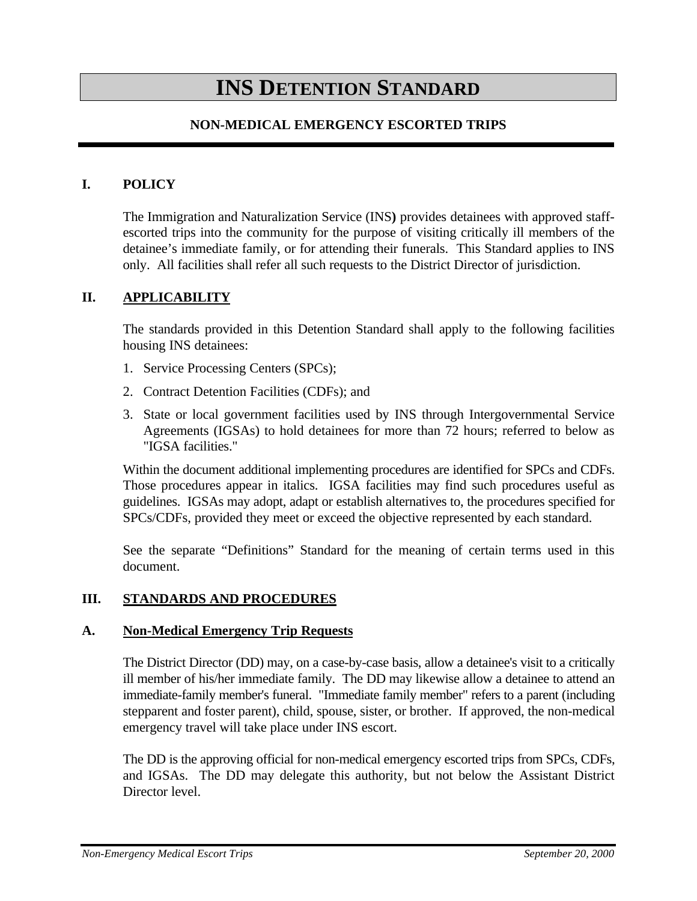# **INS DETENTION STANDARD**

### **NON-MEDICAL EMERGENCY ESCORTED TRIPS**

#### **I. POLICY**

The Immigration and Naturalization Service (INS**)** provides detainees with approved staffescorted trips into the community for the purpose of visiting critically ill members of the detainee's immediate family, or for attending their funerals. This Standard applies to INS only. All facilities shall refer all such requests to the District Director of jurisdiction.

#### **II. APPLICABILITY**

The standards provided in this Detention Standard shall apply to the following facilities housing INS detainees:

- 1. Service Processing Centers (SPCs);
- 2. Contract Detention Facilities (CDFs); and
- 3. State or local government facilities used by INS through Intergovernmental Service Agreements (IGSAs) to hold detainees for more than 72 hours; referred to below as "IGSA facilities."

Within the document additional implementing procedures are identified for SPCs and CDFs. Those procedures appear in italics. IGSA facilities may find such procedures useful as guidelines. IGSAs may adopt, adapt or establish alternatives to, the procedures specified for SPCs/CDFs, provided they meet or exceed the objective represented by each standard.

See the separate "Definitions" Standard for the meaning of certain terms used in this document.

#### **III. STANDARDS AND PROCEDURES**

#### **A. Non-Medical Emergency Trip Requests**

The District Director (DD) may, on a case-by-case basis, allow a detainee's visit to a critically ill member of his/her immediate family. The DD may likewise allow a detainee to attend an immediate-family member's funeral. "Immediate family member" refers to a parent (including stepparent and foster parent), child, spouse, sister, or brother. If approved, the non-medical emergency travel will take place under INS escort.

The DD is the approving official for non-medical emergency escorted trips from SPCs, CDFs, and IGSAs. The DD may delegate this authority, but not below the Assistant District Director level.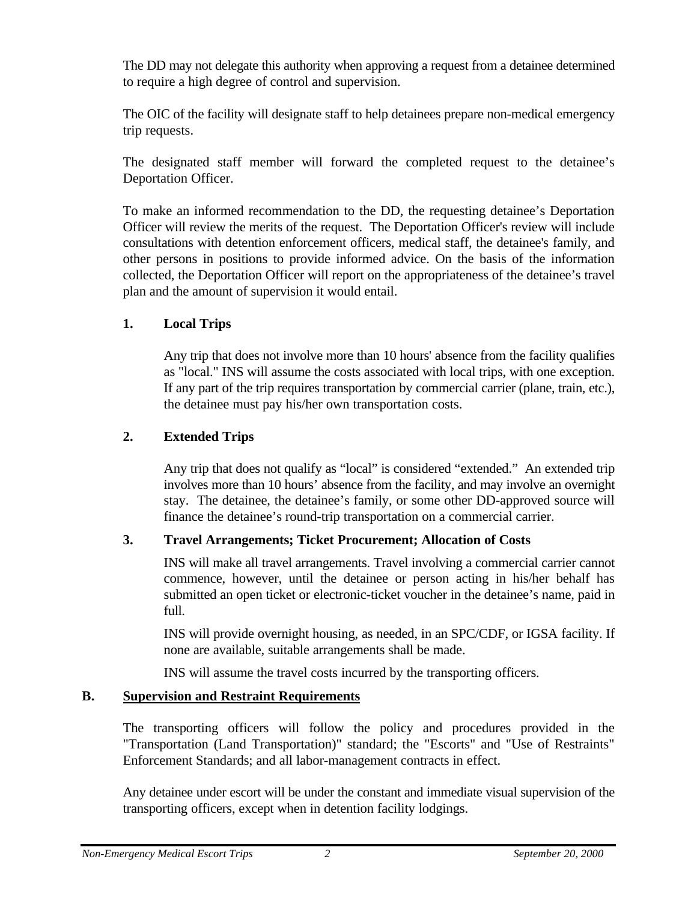The DD may not delegate this authority when approving a request from a detainee determined to require a high degree of control and supervision.

The OIC of the facility will designate staff to help detainees prepare non-medical emergency trip requests.

The designated staff member will forward the completed request to the detainee's Deportation Officer.

To make an informed recommendation to the DD, the requesting detainee's Deportation Officer will review the merits of the request. The Deportation Officer's review will include consultations with detention enforcement officers, medical staff, the detainee's family, and other persons in positions to provide informed advice. On the basis of the information collected, the Deportation Officer will report on the appropriateness of the detainee's travel plan and the amount of supervision it would entail.

## **1. Local Trips**

Any trip that does not involve more than 10 hours' absence from the facility qualifies as "local." INS will assume the costs associated with local trips, with one exception. If any part of the trip requires transportation by commercial carrier (plane, train, etc.), the detainee must pay his/her own transportation costs.

## **2. Extended Trips**

Any trip that does not qualify as "local" is considered "extended." An extended trip involves more than 10 hours' absence from the facility, and may involve an overnight stay. The detainee, the detainee's family, or some other DD-approved source will finance the detainee's round-trip transportation on a commercial carrier.

# **3. Travel Arrangements; Ticket Procurement; Allocation of Costs**

INS will make all travel arrangements. Travel involving a commercial carrier cannot commence, however, until the detainee or person acting in his/her behalf has submitted an open ticket or electronic-ticket voucher in the detainee's name, paid in full.

INS will provide overnight housing, as needed, in an SPC/CDF, or IGSA facility. If none are available, suitable arrangements shall be made.

INS will assume the travel costs incurred by the transporting officers.

# **B. Supervision and Restraint Requirements**

The transporting officers will follow the policy and procedures provided in the "Transportation (Land Transportation)" standard; the "Escorts" and "Use of Restraints" Enforcement Standards; and all labor-management contracts in effect.

Any detainee under escort will be under the constant and immediate visual supervision of the transporting officers, except when in detention facility lodgings.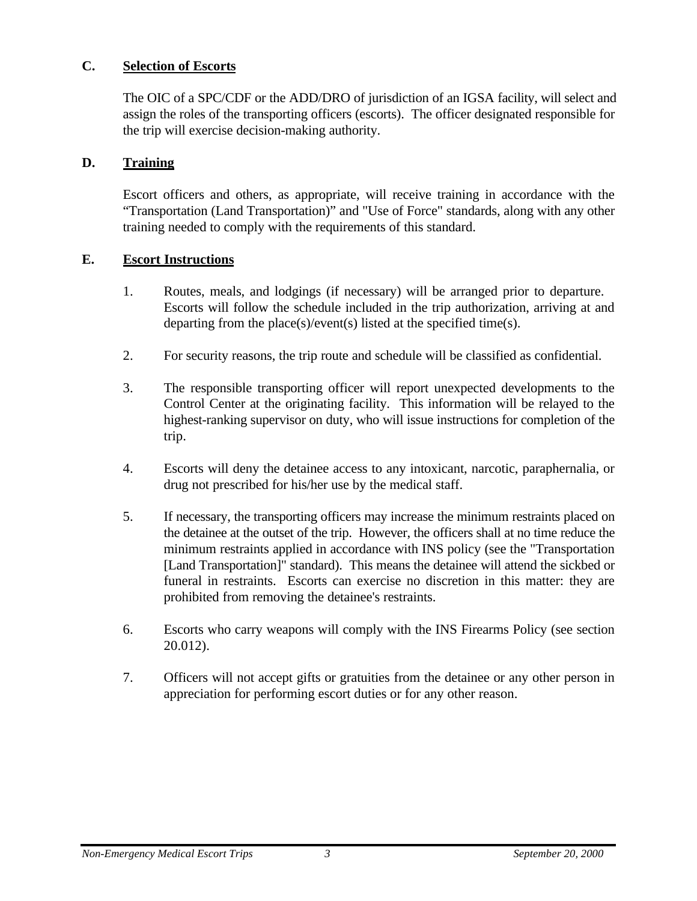## **C. Selection of Escorts**

The OIC of a SPC/CDF or the ADD/DRO of jurisdiction of an IGSA facility, will select and assign the roles of the transporting officers (escorts). The officer designated responsible for the trip will exercise decision-making authority.

#### **D. Training**

Escort officers and others, as appropriate, will receive training in accordance with the "Transportation (Land Transportation)" and "Use of Force" standards, along with any other training needed to comply with the requirements of this standard.

## **E. Escort Instructions**

- 1. Routes, meals, and lodgings (if necessary) will be arranged prior to departure. Escorts will follow the schedule included in the trip authorization, arriving at and departing from the place(s)/event(s) listed at the specified time(s).
- 2. For security reasons, the trip route and schedule will be classified as confidential.
- 3. The responsible transporting officer will report unexpected developments to the Control Center at the originating facility. This information will be relayed to the highest-ranking supervisor on duty, who will issue instructions for completion of the trip.
- 4. Escorts will deny the detainee access to any intoxicant, narcotic, paraphernalia, or drug not prescribed for his/her use by the medical staff.
- 5. If necessary, the transporting officers may increase the minimum restraints placed on the detainee at the outset of the trip. However, the officers shall at no time reduce the minimum restraints applied in accordance with INS policy (see the "Transportation [Land Transportation]" standard). This means the detainee will attend the sickbed or funeral in restraints. Escorts can exercise no discretion in this matter: they are prohibited from removing the detainee's restraints.
- 6. Escorts who carry weapons will comply with the INS Firearms Policy (see section 20.012).
- 7. Officers will not accept gifts or gratuities from the detainee or any other person in appreciation for performing escort duties or for any other reason.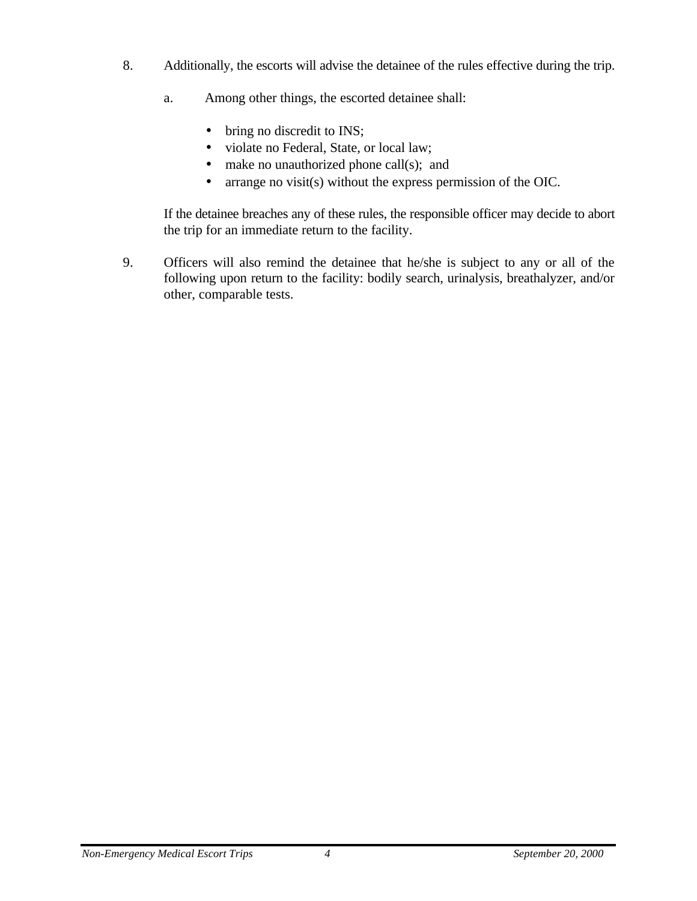- 8. Additionally, the escorts will advise the detainee of the rules effective during the trip.
	- a. Among other things, the escorted detainee shall:
		- bring no discredit to INS;
		- violate no Federal, State, or local law;
		- make no unauthorized phone call(s); and
		- arrange no visit(s) without the express permission of the OIC.

If the detainee breaches any of these rules, the responsible officer may decide to abort the trip for an immediate return to the facility.

9. Officers will also remind the detainee that he/she is subject to any or all of the following upon return to the facility: bodily search, urinalysis, breathalyzer, and/or other, comparable tests.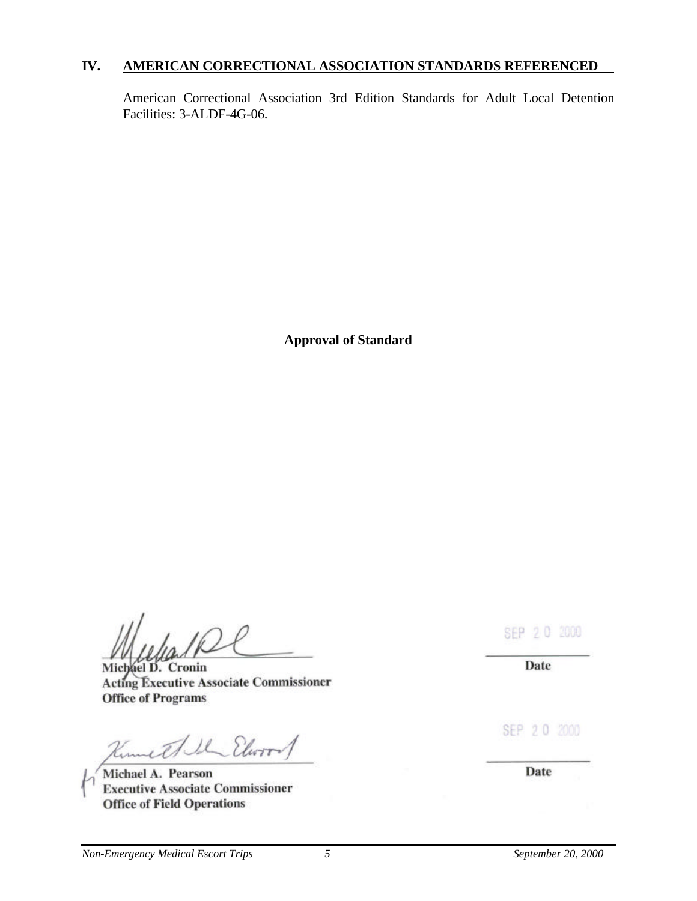#### **IV. AMERICAN CORRECTIONAL ASSOCIATION STANDARDS REFERENCED**

American Correctional Association 3rd Edition Standards for Adult Local Detention Facilities: 3-ALDF-4G-06.

**Approval of Standard**

Michael D. Cronin **Acting Executive Associate Commissioner Office of Programs** 

IL Elwir Kumet

Michael A. Pearson **Executive Associate Commissioner Office of Field Operations** 

SEP 2 0 2000

Date

SEP 20 2000

Date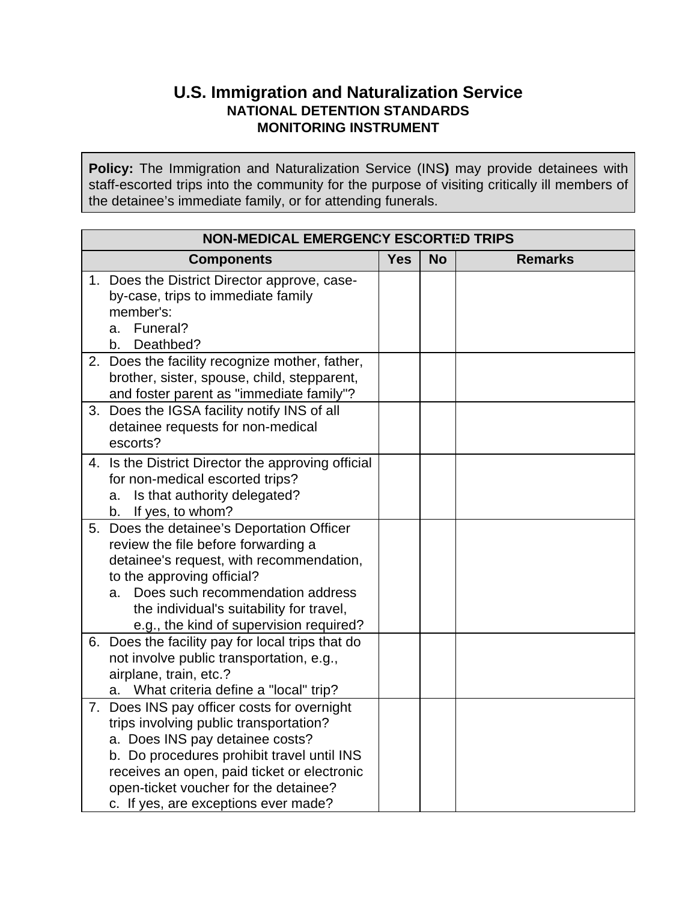# **U.S. Immigration and Naturalization Service NATIONAL DETENTION STANDARDS MONITORING INSTRUMENT**

**Policy:** The Immigration and Naturalization Service (INS**)** may provide detainees with staff-escorted trips into the community for the purpose of visiting critically ill members of the detainee's immediate family, or for attending funerals.

| <b>NON-MEDICAL EMERGENCY ESCORTED TRIPS</b> |                                                                                                                                                                                                                                                                                                        |            |           |                |  |
|---------------------------------------------|--------------------------------------------------------------------------------------------------------------------------------------------------------------------------------------------------------------------------------------------------------------------------------------------------------|------------|-----------|----------------|--|
|                                             | <b>Components</b>                                                                                                                                                                                                                                                                                      | <b>Yes</b> | <b>No</b> | <b>Remarks</b> |  |
|                                             | 1. Does the District Director approve, case-<br>by-case, trips to immediate family<br>member's:<br>Funeral?<br>a.                                                                                                                                                                                      |            |           |                |  |
|                                             | Deathbed?<br>b.<br>2. Does the facility recognize mother, father,<br>brother, sister, spouse, child, stepparent,<br>and foster parent as "immediate family"?                                                                                                                                           |            |           |                |  |
| 3.                                          | Does the IGSA facility notify INS of all<br>detainee requests for non-medical<br>escorts?                                                                                                                                                                                                              |            |           |                |  |
|                                             | 4. Is the District Director the approving official<br>for non-medical escorted trips?<br>Is that authority delegated?<br>a.<br>If yes, to whom?<br>b.                                                                                                                                                  |            |           |                |  |
| 5.                                          | Does the detainee's Deportation Officer<br>review the file before forwarding a<br>detainee's request, with recommendation,<br>to the approving official?<br>Does such recommendation address<br>a.<br>the individual's suitability for travel,<br>e.g., the kind of supervision required?              |            |           |                |  |
|                                             | 6. Does the facility pay for local trips that do<br>not involve public transportation, e.g.,<br>airplane, train, etc.?<br>a. What criteria define a "local" trip?                                                                                                                                      |            |           |                |  |
|                                             | 7. Does INS pay officer costs for overnight<br>trips involving public transportation?<br>a. Does INS pay detainee costs?<br>b. Do procedures prohibit travel until INS<br>receives an open, paid ticket or electronic<br>open-ticket voucher for the detainee?<br>c. If yes, are exceptions ever made? |            |           |                |  |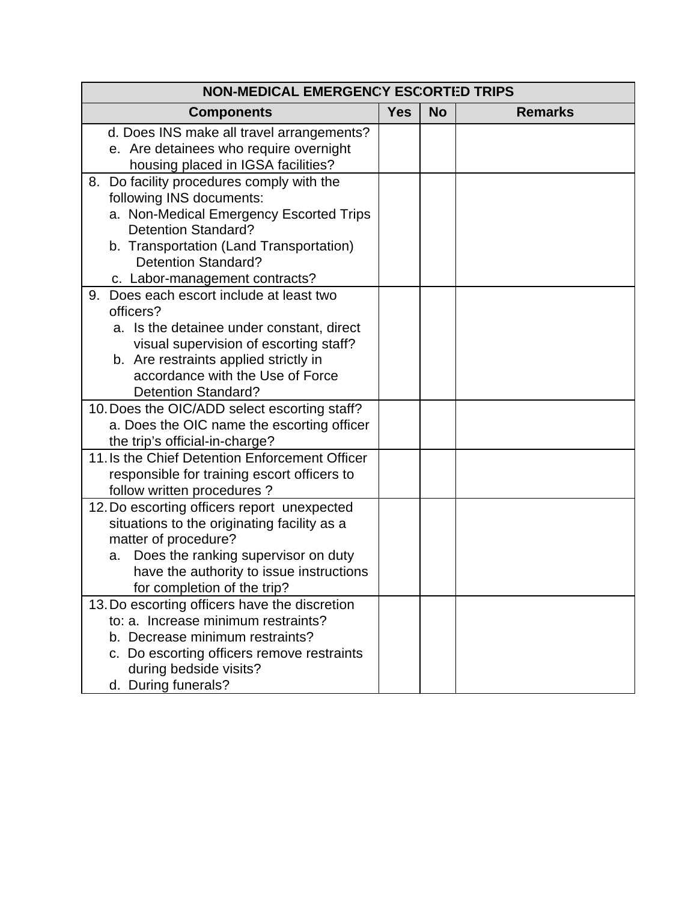| <b>NON-MEDICAL EMERGENCY ESCORTED TRIPS</b>                             |            |           |                |  |
|-------------------------------------------------------------------------|------------|-----------|----------------|--|
| <b>Components</b>                                                       | <b>Yes</b> | <b>No</b> | <b>Remarks</b> |  |
| d. Does INS make all travel arrangements?                               |            |           |                |  |
| e. Are detainees who require overnight                                  |            |           |                |  |
| housing placed in IGSA facilities?                                      |            |           |                |  |
| 8. Do facility procedures comply with the                               |            |           |                |  |
| following INS documents:                                                |            |           |                |  |
| a. Non-Medical Emergency Escorted Trips                                 |            |           |                |  |
| <b>Detention Standard?</b>                                              |            |           |                |  |
| b. Transportation (Land Transportation)                                 |            |           |                |  |
| <b>Detention Standard?</b>                                              |            |           |                |  |
| c. Labor-management contracts?<br>Does each escort include at least two |            |           |                |  |
| 9.<br>officers?                                                         |            |           |                |  |
| a. Is the detainee under constant, direct                               |            |           |                |  |
| visual supervision of escorting staff?                                  |            |           |                |  |
| b. Are restraints applied strictly in                                   |            |           |                |  |
| accordance with the Use of Force                                        |            |           |                |  |
| <b>Detention Standard?</b>                                              |            |           |                |  |
| 10. Does the OIC/ADD select escorting staff?                            |            |           |                |  |
| a. Does the OIC name the escorting officer                              |            |           |                |  |
| the trip's official-in-charge?                                          |            |           |                |  |
| 11. Is the Chief Detention Enforcement Officer                          |            |           |                |  |
| responsible for training escort officers to                             |            |           |                |  |
| follow written procedures?                                              |            |           |                |  |
| 12. Do escorting officers report unexpected                             |            |           |                |  |
| situations to the originating facility as a                             |            |           |                |  |
| matter of procedure?                                                    |            |           |                |  |
| Does the ranking supervisor on duty<br>a.                               |            |           |                |  |
| have the authority to issue instructions                                |            |           |                |  |
| for completion of the trip?                                             |            |           |                |  |
| 13. Do escorting officers have the discretion                           |            |           |                |  |
| to: a. Increase minimum restraints?                                     |            |           |                |  |
| b. Decrease minimum restraints?                                         |            |           |                |  |
| c. Do escorting officers remove restraints<br>during bedside visits?    |            |           |                |  |
|                                                                         |            |           |                |  |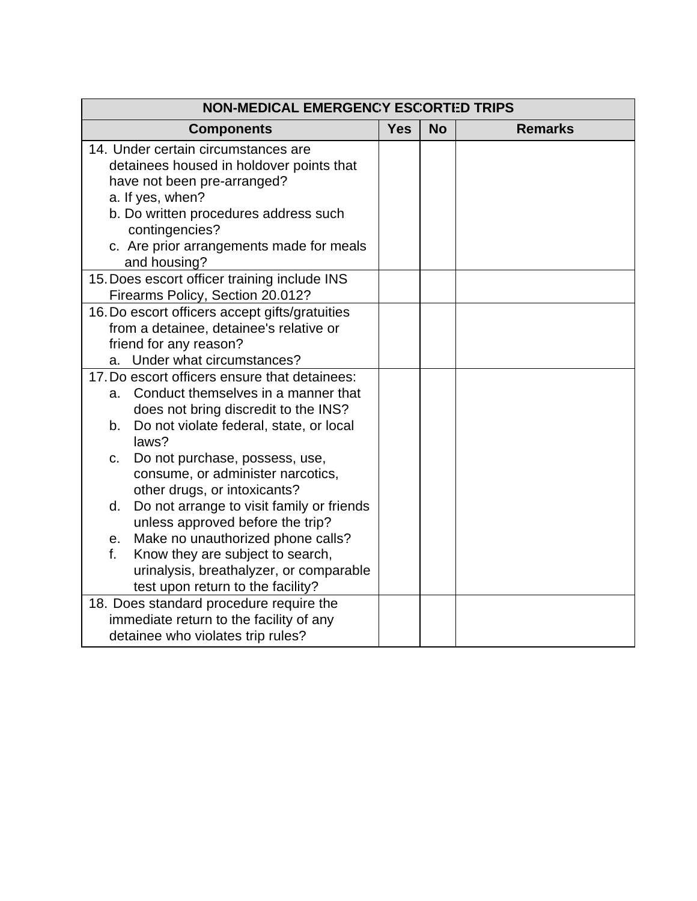| <b>NON-MEDICAL EMERGENCY ESCORTED TRIPS</b>                                                                                                                                                                                               |            |           |                |  |  |  |
|-------------------------------------------------------------------------------------------------------------------------------------------------------------------------------------------------------------------------------------------|------------|-----------|----------------|--|--|--|
| <b>Components</b>                                                                                                                                                                                                                         | <b>Yes</b> | <b>No</b> | <b>Remarks</b> |  |  |  |
| 14. Under certain circumstances are<br>detainees housed in holdover points that<br>have not been pre-arranged?<br>a. If yes, when?<br>b. Do written procedures address such<br>contingencies?<br>c. Are prior arrangements made for meals |            |           |                |  |  |  |
| and housing?                                                                                                                                                                                                                              |            |           |                |  |  |  |
| 15. Does escort officer training include INS<br>Firearms Policy, Section 20.012?                                                                                                                                                          |            |           |                |  |  |  |
| 16. Do escort officers accept gifts/gratuities<br>from a detainee, detainee's relative or<br>friend for any reason?<br>a. Under what circumstances?                                                                                       |            |           |                |  |  |  |
| 17. Do escort officers ensure that detainees:                                                                                                                                                                                             |            |           |                |  |  |  |
| Conduct themselves in a manner that<br>a.<br>does not bring discredit to the INS?                                                                                                                                                         |            |           |                |  |  |  |
| Do not violate federal, state, or local<br>b.<br>laws?                                                                                                                                                                                    |            |           |                |  |  |  |
| Do not purchase, possess, use,<br>c.<br>consume, or administer narcotics,<br>other drugs, or intoxicants?                                                                                                                                 |            |           |                |  |  |  |
| Do not arrange to visit family or friends<br>d.<br>unless approved before the trip?                                                                                                                                                       |            |           |                |  |  |  |
| Make no unauthorized phone calls?<br>e.                                                                                                                                                                                                   |            |           |                |  |  |  |
| Know they are subject to search,<br>f.<br>urinalysis, breathalyzer, or comparable<br>test upon return to the facility?                                                                                                                    |            |           |                |  |  |  |
| 18. Does standard procedure require the                                                                                                                                                                                                   |            |           |                |  |  |  |
| immediate return to the facility of any                                                                                                                                                                                                   |            |           |                |  |  |  |
| detainee who violates trip rules?                                                                                                                                                                                                         |            |           |                |  |  |  |